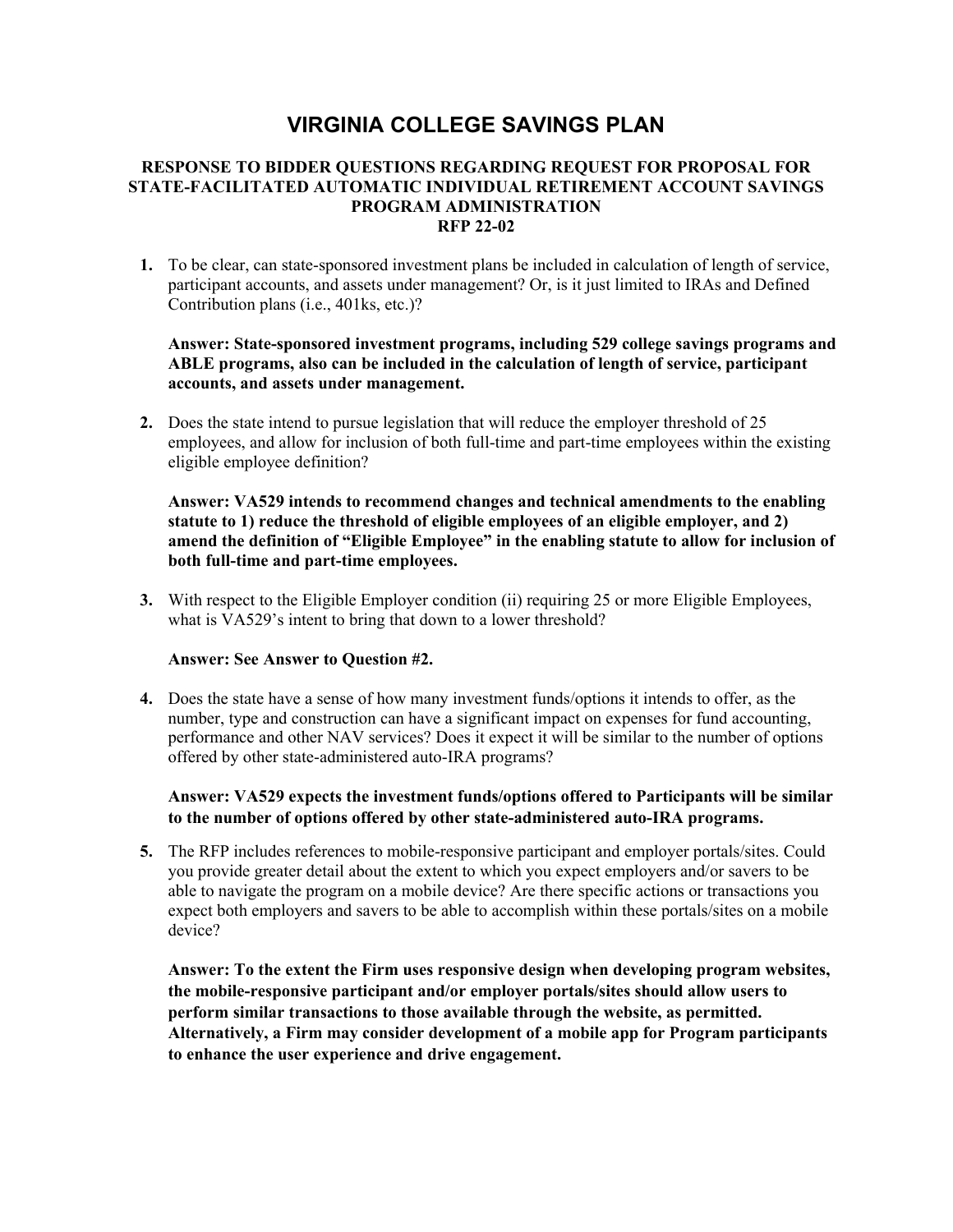# **VIRGINIA COLLEGE SAVINGS PLAN**

#### **RESPONSE TO BIDDER QUESTIONS REGARDING REQUEST FOR PROPOSAL FOR STATE-FACILITATED AUTOMATIC INDIVIDUAL RETIREMENT ACCOUNT SAVINGS PROGRAM ADMINISTRATION RFP 22-02**

**1.** To be clear, can state-sponsored investment plans be included in calculation of length of service, participant accounts, and assets under management? Or, is it just limited to IRAs and Defined Contribution plans (i.e., 401ks, etc.)?

### **Answer: State-sponsored investment programs, including 529 college savings programs and ABLE programs, also can be included in the calculation of length of service, participant accounts, and assets under management.**

**2.** Does the state intend to pursue legislation that will reduce the employer threshold of 25 employees, and allow for inclusion of both full-time and part-time employees within the existing eligible employee definition?

**Answer: VA529 intends to recommend changes and technical amendments to the enabling statute to 1) reduce the threshold of eligible employees of an eligible employer, and 2) amend the definition of "Eligible Employee" in the enabling statute to allow for inclusion of both full-time and part-time employees.** 

**3.** With respect to the Eligible Employer condition (ii) requiring 25 or more Eligible Employees, what is VA529's intent to bring that down to a lower threshold?

## **Answer: See Answer to Question #2.**

**4.** Does the state have a sense of how many investment funds/options it intends to offer, as the number, type and construction can have a significant impact on expenses for fund accounting, performance and other NAV services? Does it expect it will be similar to the number of options offered by other state-administered auto-IRA programs?

### **Answer: VA529 expects the investment funds/options offered to Participants will be similar to the number of options offered by other state-administered auto-IRA programs.**

**5.** The RFP includes references to mobile-responsive participant and employer portals/sites. Could you provide greater detail about the extent to which you expect employers and/or savers to be able to navigate the program on a mobile device? Are there specific actions or transactions you expect both employers and savers to be able to accomplish within these portals/sites on a mobile device?

**Answer: To the extent the Firm uses responsive design when developing program websites, the mobile-responsive participant and/or employer portals/sites should allow users to perform similar transactions to those available through the website, as permitted. Alternatively, a Firm may consider development of a mobile app for Program participants to enhance the user experience and drive engagement.**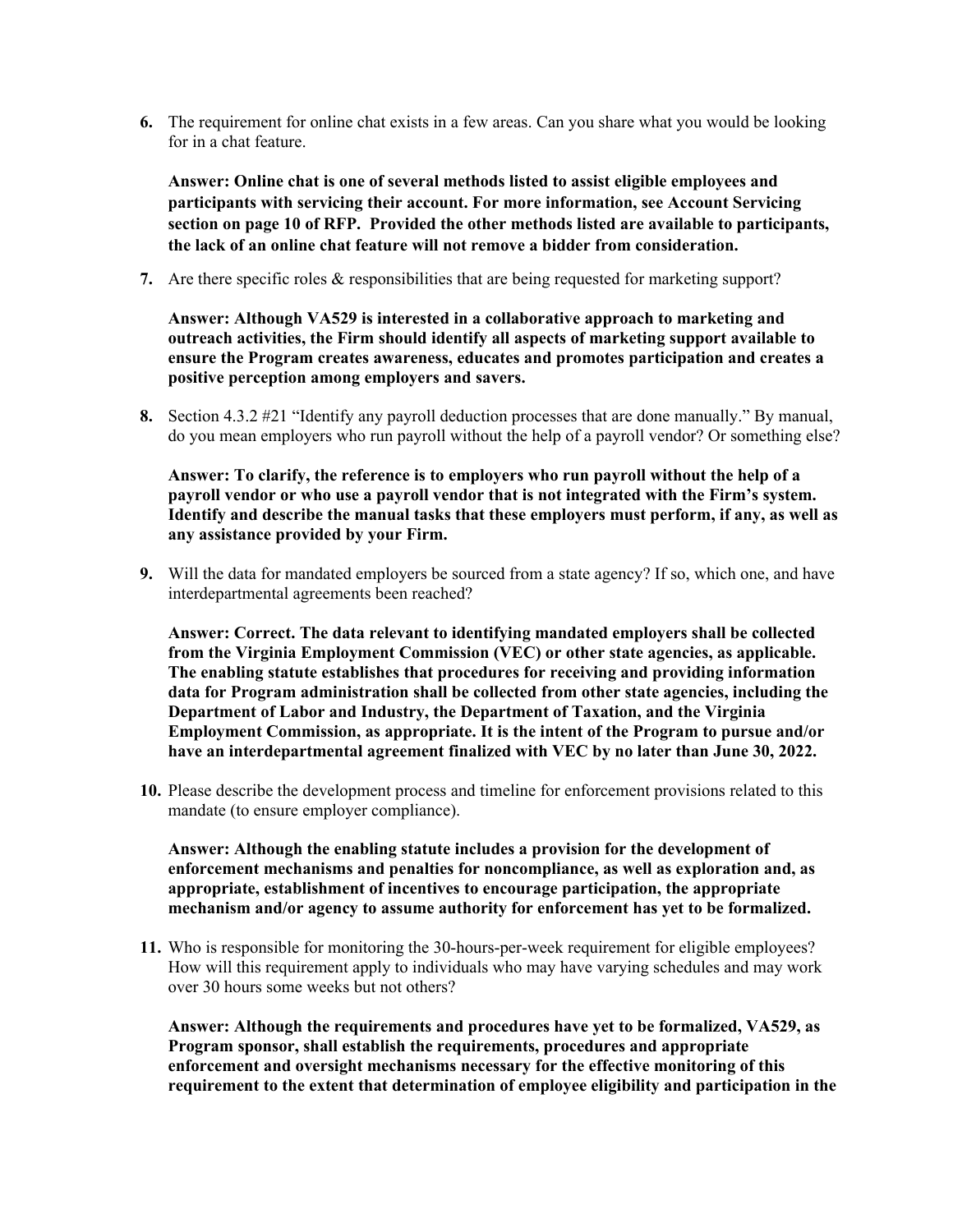**6.** The requirement for online chat exists in a few areas. Can you share what you would be looking for in a chat feature.

**Answer: Online chat is one of several methods listed to assist eligible employees and participants with servicing their account. For more information, see Account Servicing section on page 10 of RFP. Provided the other methods listed are available to participants, the lack of an online chat feature will not remove a bidder from consideration.** 

**7.** Are there specific roles & responsibilities that are being requested for marketing support?

**Answer: Although VA529 is interested in a collaborative approach to marketing and outreach activities, the Firm should identify all aspects of marketing support available to ensure the Program creates awareness, educates and promotes participation and creates a positive perception among employers and savers.** 

**8.** Section 4.3.2 #21 "Identify any payroll deduction processes that are done manually." By manual, do you mean employers who run payroll without the help of a payroll vendor? Or something else?

**Answer: To clarify, the reference is to employers who run payroll without the help of a payroll vendor or who use a payroll vendor that is not integrated with the Firm's system. Identify and describe the manual tasks that these employers must perform, if any, as well as any assistance provided by your Firm.** 

**9.** Will the data for mandated employers be sourced from a state agency? If so, which one, and have interdepartmental agreements been reached?

**Answer: Correct. The data relevant to identifying mandated employers shall be collected from the Virginia Employment Commission (VEC) or other state agencies, as applicable. The enabling statute establishes that procedures for receiving and providing information data for Program administration shall be collected from other state agencies, including the Department of Labor and Industry, the Department of Taxation, and the Virginia Employment Commission, as appropriate. It is the intent of the Program to pursue and/or have an interdepartmental agreement finalized with VEC by no later than June 30, 2022.** 

**10.** Please describe the development process and timeline for enforcement provisions related to this mandate (to ensure employer compliance).

**Answer: Although the enabling statute includes a provision for the development of enforcement mechanisms and penalties for noncompliance, as well as exploration and, as appropriate, establishment of incentives to encourage participation, the appropriate mechanism and/or agency to assume authority for enforcement has yet to be formalized.** 

**11.** Who is responsible for monitoring the 30-hours-per-week requirement for eligible employees? How will this requirement apply to individuals who may have varying schedules and may work over 30 hours some weeks but not others?

**Answer: Although the requirements and procedures have yet to be formalized, VA529, as Program sponsor, shall establish the requirements, procedures and appropriate enforcement and oversight mechanisms necessary for the effective monitoring of this requirement to the extent that determination of employee eligibility and participation in the**